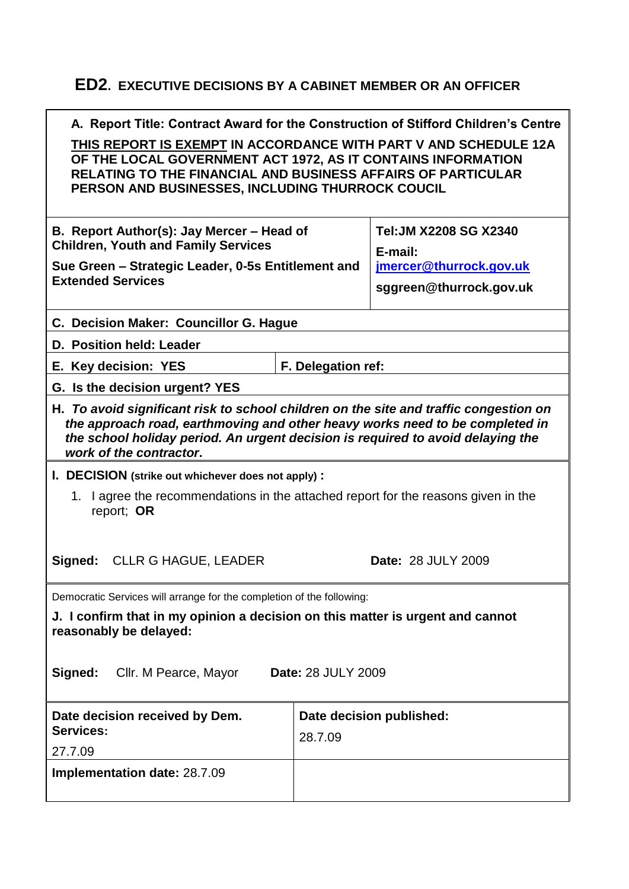## **ED2. EXECUTIVE DECISIONS BY A CABINET MEMBER OR AN OFFICER**

| A. Report Title: Contract Award for the Construction of Stifford Children's Centre<br>THIS REPORT IS EXEMPT IN ACCORDANCE WITH PART V AND SCHEDULE 12A<br>OF THE LOCAL GOVERNMENT ACT 1972, AS IT CONTAINS INFORMATION<br>RELATING TO THE FINANCIAL AND BUSINESS AFFAIRS OF PARTICULAR<br>PERSON AND BUSINESSES, INCLUDING THURROCK COUCIL |                          |  |
|--------------------------------------------------------------------------------------------------------------------------------------------------------------------------------------------------------------------------------------------------------------------------------------------------------------------------------------------|--------------------------|--|
| B. Report Author(s): Jay Mercer - Head of<br><b>Children, Youth and Family Services</b>                                                                                                                                                                                                                                                    |                          |  |
| Sue Green - Strategic Leader, 0-5s Entitlement and<br><b>Extended Services</b>                                                                                                                                                                                                                                                             |                          |  |
| C. Decision Maker: Councillor G. Hague                                                                                                                                                                                                                                                                                                     |                          |  |
| D. Position held: Leader                                                                                                                                                                                                                                                                                                                   |                          |  |
| F. Delegation ref:                                                                                                                                                                                                                                                                                                                         |                          |  |
| G. Is the decision urgent? YES                                                                                                                                                                                                                                                                                                             |                          |  |
| H. To avoid significant risk to school children on the site and traffic congestion on<br>the approach road, earthmoving and other heavy works need to be completed in<br>the school holiday period. An urgent decision is required to avoid delaying the<br>work of the contractor.                                                        |                          |  |
| I. DECISION (strike out whichever does not apply):<br>I agree the recommendations in the attached report for the reasons given in the<br>1.<br>report; OR<br>CLLR G HAGUE, LEADER<br><b>Date: 28 JULY 2009</b><br>Signed:                                                                                                                  |                          |  |
|                                                                                                                                                                                                                                                                                                                                            |                          |  |
| Democratic Services will arrange for the completion of the following:<br>J. I confirm that in my opinion a decision on this matter is urgent and cannot<br>reasonably be delayed:<br>Signed:<br>Cllr. M Pearce, Mayor<br><b>Date: 28 JULY 2009</b>                                                                                         |                          |  |
| 28.7.09                                                                                                                                                                                                                                                                                                                                    | Date decision published: |  |
|                                                                                                                                                                                                                                                                                                                                            |                          |  |